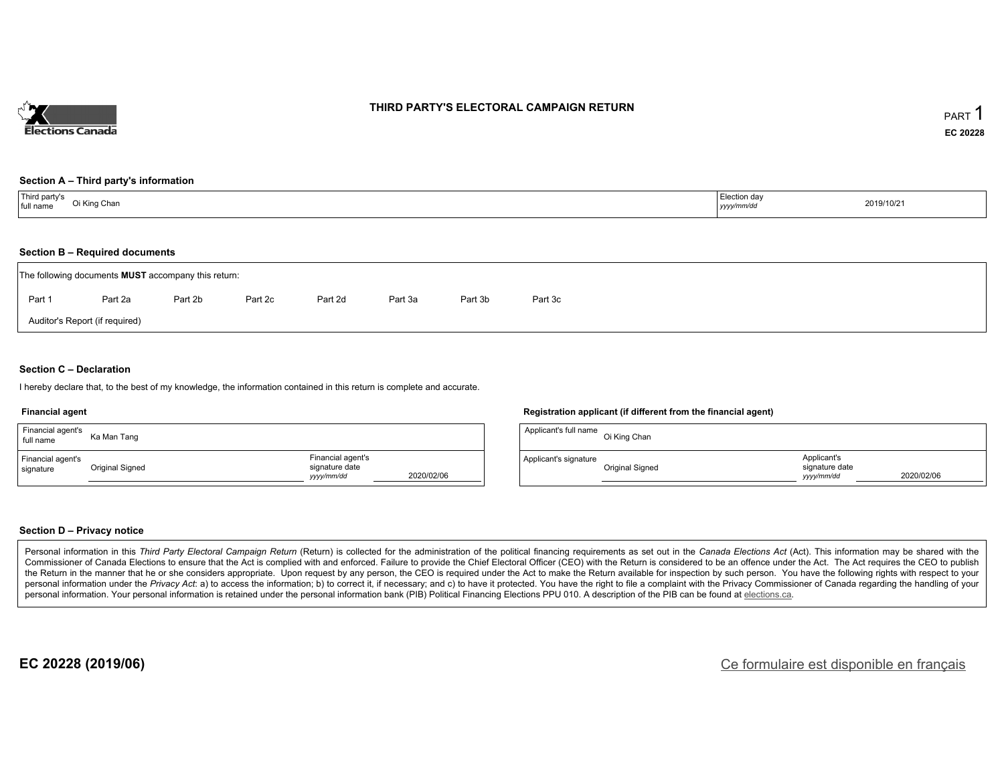

### **THIRD PARTY'S ELECTORAL CAMPAIGN RETURN**

#### **Section A – Third party's information**

| Third party's<br>full name | Election day |            |
|----------------------------|--------------|------------|
| Oi King Chan               | yyyy/mm/dd   | 2019/10/21 |

#### **Section B – Required documents**

|        | The following documents <b>MUST</b> accompany this return: |         |         |         |         |         |         |  |  |  |  |
|--------|------------------------------------------------------------|---------|---------|---------|---------|---------|---------|--|--|--|--|
| Part 1 | Part 2a                                                    | Part 2b | Part 2c | Part 2d | Part 3a | Part 3b | Part 3c |  |  |  |  |
|        | Auditor's Report (if required)                             |         |         |         |         |         |         |  |  |  |  |

### **Section C – Declaration**

I hereby declare that, to the best of my knowledge, the information contained in this return is complete and accurate.

#### **Financial agent**

| Financial agent's<br>full name | Ka Man Tang     |                                                   |            |
|--------------------------------|-----------------|---------------------------------------------------|------------|
| Financial agent's<br>signature | Original Signed | Financial agent's<br>signature date<br>yyyy/mm/dd | 2020/02/06 |

#### **Registration applicant (if different from the financial agent)**

| Applicant's full name | Oi King Chan    |                                             |            |
|-----------------------|-----------------|---------------------------------------------|------------|
| Applicant's signature | Original Signed | Applicant's<br>signature date<br>vyyy/mm/dd | 2020/02/06 |

#### **Section D – Privacy notice**

Personal information in this Third Party Electoral Campaign Return (Return) is collected for the administration of the political financing requirements as set out in the Canada Elections Act (Act). This information may be Commissioner of Canada Elections to ensure that the Act is complied with and enforced. Failure to provide the Chief Electoral Officer (CEO) with the Return is considered to be an offence under the Act. The Act requires the the Return in the manner that he or she considers appropriate. Upon request by any person, the CEO is required under the Act to make the Return available for inspection by such person. You have the following rights with re personal information under the Privacy Act: a) to access the information; b) to correct it, if necessary; and c) to have it protected. You have the right to file a complaint with the Privacy Commissioner of Canada regardin personal information. Your personal information is retained under the personal information bank (PIB) Political Financing Elections PPU 010. A description of the PIB can be found at elections.ca.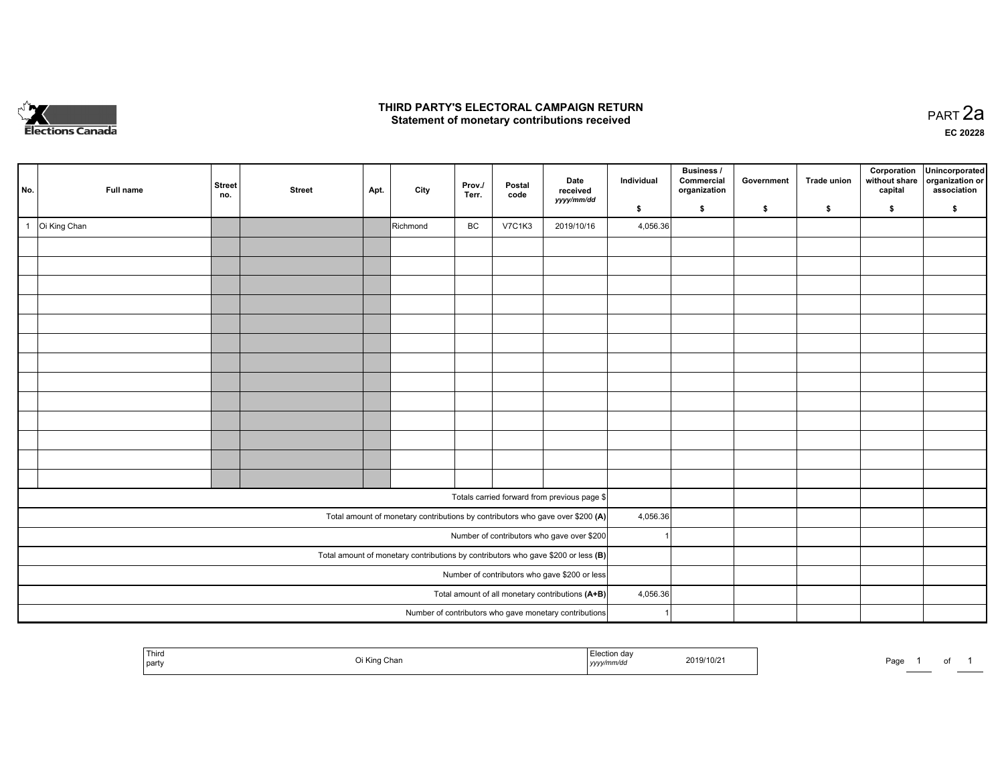

## **THIRD PARTY'S ELECTORAL CAMPAIGN RETURN HIRD PARTY'S ELECTORAL CAMPAIGN RETURN<br>Statement of monetary contributions received PART 2a PART 2a**

**EC 20228**

| No. |              | Full name    | <b>Street</b><br>no. | <b>Street</b> | Apt. | City     | Prov./<br>Terr. | Postal<br>code | Date<br>received<br>yyyy/mm/dd                                                      | Individual | Business /<br>Commercial<br>organization | Government | Trade union | Corporation<br>without share<br>capital | Unincorporated<br>organization or<br>association |
|-----|--------------|--------------|----------------------|---------------|------|----------|-----------------|----------------|-------------------------------------------------------------------------------------|------------|------------------------------------------|------------|-------------|-----------------------------------------|--------------------------------------------------|
|     |              |              |                      |               |      |          |                 |                |                                                                                     | \$         | \$                                       | \$         | \$          | \$                                      | \$                                               |
|     | $\mathbf{1}$ | Oi King Chan |                      |               |      | Richmond | BC              | <b>V7C1K3</b>  | 2019/10/16                                                                          | 4,056.36   |                                          |            |             |                                         |                                                  |
|     |              |              |                      |               |      |          |                 |                |                                                                                     |            |                                          |            |             |                                         |                                                  |
|     |              |              |                      |               |      |          |                 |                |                                                                                     |            |                                          |            |             |                                         |                                                  |
|     |              |              |                      |               |      |          |                 |                |                                                                                     |            |                                          |            |             |                                         |                                                  |
|     |              |              |                      |               |      |          |                 |                |                                                                                     |            |                                          |            |             |                                         |                                                  |
|     |              |              |                      |               |      |          |                 |                |                                                                                     |            |                                          |            |             |                                         |                                                  |
|     |              |              |                      |               |      |          |                 |                |                                                                                     |            |                                          |            |             |                                         |                                                  |
|     |              |              |                      |               |      |          |                 |                |                                                                                     |            |                                          |            |             |                                         |                                                  |
|     |              |              |                      |               |      |          |                 |                |                                                                                     |            |                                          |            |             |                                         |                                                  |
|     |              |              |                      |               |      |          |                 |                |                                                                                     |            |                                          |            |             |                                         |                                                  |
|     |              |              |                      |               |      |          |                 |                |                                                                                     |            |                                          |            |             |                                         |                                                  |
|     |              |              |                      |               |      |          |                 |                |                                                                                     |            |                                          |            |             |                                         |                                                  |
|     |              |              |                      |               |      |          |                 |                |                                                                                     |            |                                          |            |             |                                         |                                                  |
|     |              |              |                      |               |      |          |                 |                |                                                                                     |            |                                          |            |             |                                         |                                                  |
|     |              |              |                      |               |      |          |                 |                | Totals carried forward from previous page \$                                        |            |                                          |            |             |                                         |                                                  |
|     |              |              |                      |               |      |          |                 |                | Total amount of monetary contributions by contributors who gave over \$200 (A)      | 4,056.36   |                                          |            |             |                                         |                                                  |
|     |              |              |                      |               |      |          |                 |                | Number of contributors who gave over \$200                                          |            |                                          |            |             |                                         |                                                  |
|     |              |              |                      |               |      |          |                 |                | Total amount of monetary contributions by contributors who gave \$200 or less $(B)$ |            |                                          |            |             |                                         |                                                  |
|     |              |              |                      |               |      |          |                 |                | Number of contributors who gave \$200 or less                                       |            |                                          |            |             |                                         |                                                  |
|     |              |              |                      |               |      |          |                 |                | Total amount of all monetary contributions (A+B)                                    | 4,056.36   |                                          |            |             |                                         |                                                  |
|     |              |              |                      |               |      |          |                 |                | Number of contributors who gave monetary contributions                              |            |                                          |            |             |                                         |                                                  |

| Third<br>party | King Chan | u dar<br><br>  yyyy/mm/dd | 2019/10/2 | the property of the control of the control of<br>Page | וש |  |
|----------------|-----------|---------------------------|-----------|-------------------------------------------------------|----|--|
|                |           |                           |           |                                                       |    |  |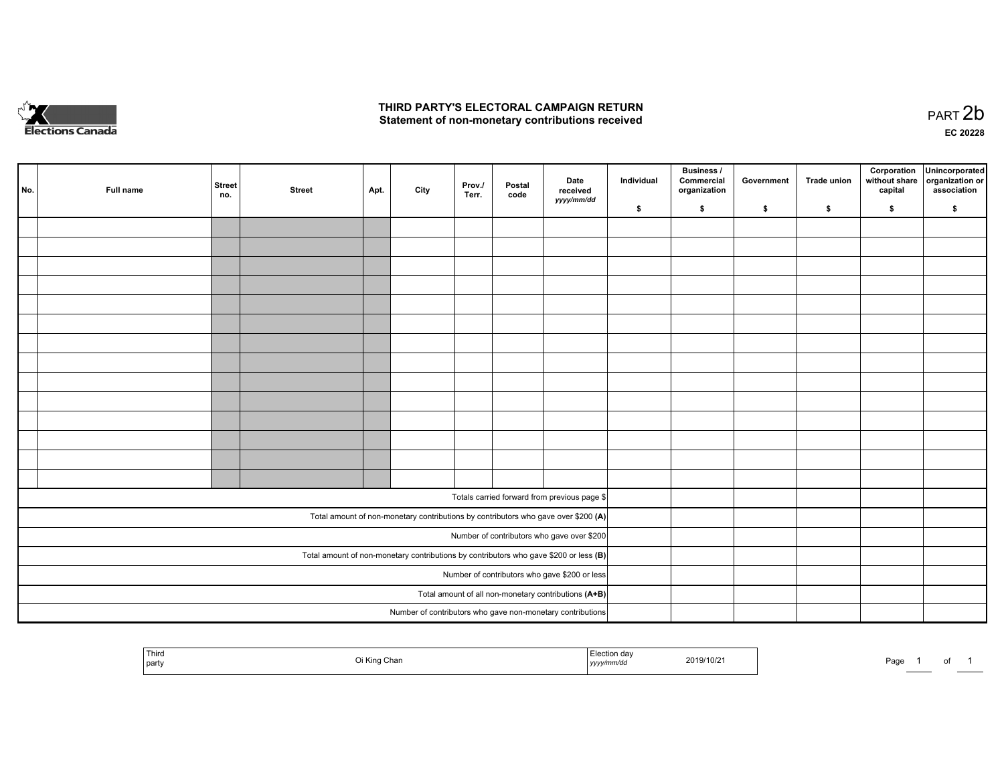

## **THIRD PARTY'S ELECTORAL CAMPAIGN RETURN**  THIRD PARTY'S ELECTORAL CAMPAIGN RETURN<br>Statement of non-monetary contributions received

| No. | Full name | <b>Street</b><br>no. | <b>Street</b> | Apt. | City | Prov.<br>Terr. | Postal<br>code | Date<br>received<br>yyyy/mm/dd                                                          | Individual | <b>Business /</b><br>Commercial<br>organization | Government | Trade union | Corporation<br>without share<br>capital | Unincorporated<br>organization or<br>association |
|-----|-----------|----------------------|---------------|------|------|----------------|----------------|-----------------------------------------------------------------------------------------|------------|-------------------------------------------------|------------|-------------|-----------------------------------------|--------------------------------------------------|
|     |           |                      |               |      |      |                |                |                                                                                         | \$         | \$                                              | \$         | \$          | \$                                      | \$                                               |
|     |           |                      |               |      |      |                |                |                                                                                         |            |                                                 |            |             |                                         |                                                  |
|     |           |                      |               |      |      |                |                |                                                                                         |            |                                                 |            |             |                                         |                                                  |
|     |           |                      |               |      |      |                |                |                                                                                         |            |                                                 |            |             |                                         |                                                  |
|     |           |                      |               |      |      |                |                |                                                                                         |            |                                                 |            |             |                                         |                                                  |
|     |           |                      |               |      |      |                |                |                                                                                         |            |                                                 |            |             |                                         |                                                  |
|     |           |                      |               |      |      |                |                |                                                                                         |            |                                                 |            |             |                                         |                                                  |
|     |           |                      |               |      |      |                |                |                                                                                         |            |                                                 |            |             |                                         |                                                  |
|     |           |                      |               |      |      |                |                |                                                                                         |            |                                                 |            |             |                                         |                                                  |
|     |           |                      |               |      |      |                |                |                                                                                         |            |                                                 |            |             |                                         |                                                  |
|     |           |                      |               |      |      |                |                |                                                                                         |            |                                                 |            |             |                                         |                                                  |
|     |           |                      |               |      |      |                |                |                                                                                         |            |                                                 |            |             |                                         |                                                  |
|     |           |                      |               |      |      |                |                |                                                                                         |            |                                                 |            |             |                                         |                                                  |
|     |           |                      |               |      |      |                |                |                                                                                         |            |                                                 |            |             |                                         |                                                  |
|     |           |                      |               |      |      |                |                |                                                                                         |            |                                                 |            |             |                                         |                                                  |
|     |           |                      |               |      |      |                |                |                                                                                         |            |                                                 |            |             |                                         |                                                  |
|     |           |                      |               |      |      |                |                | Totals carried forward from previous page \$                                            |            |                                                 |            |             |                                         |                                                  |
|     |           |                      |               |      |      |                |                | Total amount of non-monetary contributions by contributors who gave over \$200 (A)      |            |                                                 |            |             |                                         |                                                  |
|     |           |                      |               |      |      |                |                | Number of contributors who gave over \$200                                              |            |                                                 |            |             |                                         |                                                  |
|     |           |                      |               |      |      |                |                | Total amount of non-monetary contributions by contributors who gave \$200 or less $(B)$ |            |                                                 |            |             |                                         |                                                  |
|     |           |                      |               |      |      |                |                | Number of contributors who gave \$200 or less                                           |            |                                                 |            |             |                                         |                                                  |
|     |           |                      |               |      |      |                |                | Total amount of all non-monetary contributions (A+B)                                    |            |                                                 |            |             |                                         |                                                  |
|     |           |                      |               |      |      |                |                | Number of contributors who gave non-monetary contributions                              |            |                                                 |            |             |                                         |                                                  |
|     |           |                      |               |      |      |                |                |                                                                                         |            |                                                 |            |             |                                         |                                                  |

| Third<br>`≏ction dav<br>i Kino<br>2019/10/2<br>Page<br>Chan<br>party<br>mm/aa<br>,,,,, |  |  |
|----------------------------------------------------------------------------------------|--|--|
|----------------------------------------------------------------------------------------|--|--|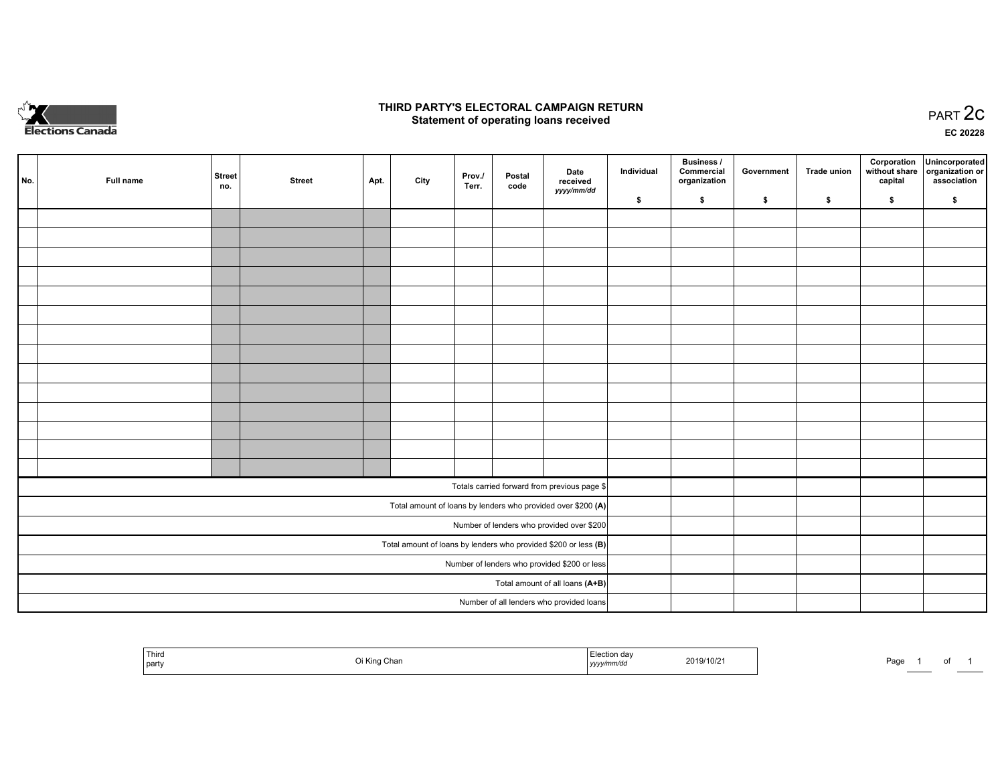

## **THIRD PARTY'S ELECTORAL CAMPAIGN RETURN STATE:** PRACT OF OPPRESS TO PART 2C STATE STATE STATE STATE STATE STATE STATE STATE STATE STATE STATE STATE STA<br>PART 2C Statement of operating loans received

**EC 20228**

| No. | Full name | <b>Street</b> | <b>Street</b> | Apt. | City | Prov./<br>Terr. | Postal | Date<br>received                                                  | Individual | <b>Business /</b><br>Commercial<br>organization | Government | Trade union | Corporation<br>capital | Unincorporated<br>without share   organization or<br>association |
|-----|-----------|---------------|---------------|------|------|-----------------|--------|-------------------------------------------------------------------|------------|-------------------------------------------------|------------|-------------|------------------------|------------------------------------------------------------------|
|     |           | no.           |               |      |      |                 | code   | yyyy/mm/dd                                                        | \$         | \$                                              | \$         | \$          | \$                     | \$                                                               |
|     |           |               |               |      |      |                 |        |                                                                   |            |                                                 |            |             |                        |                                                                  |
|     |           |               |               |      |      |                 |        |                                                                   |            |                                                 |            |             |                        |                                                                  |
|     |           |               |               |      |      |                 |        |                                                                   |            |                                                 |            |             |                        |                                                                  |
|     |           |               |               |      |      |                 |        |                                                                   |            |                                                 |            |             |                        |                                                                  |
|     |           |               |               |      |      |                 |        |                                                                   |            |                                                 |            |             |                        |                                                                  |
|     |           |               |               |      |      |                 |        |                                                                   |            |                                                 |            |             |                        |                                                                  |
|     |           |               |               |      |      |                 |        |                                                                   |            |                                                 |            |             |                        |                                                                  |
|     |           |               |               |      |      |                 |        |                                                                   |            |                                                 |            |             |                        |                                                                  |
|     |           |               |               |      |      |                 |        |                                                                   |            |                                                 |            |             |                        |                                                                  |
|     |           |               |               |      |      |                 |        |                                                                   |            |                                                 |            |             |                        |                                                                  |
|     |           |               |               |      |      |                 |        |                                                                   |            |                                                 |            |             |                        |                                                                  |
|     |           |               |               |      |      |                 |        |                                                                   |            |                                                 |            |             |                        |                                                                  |
|     |           |               |               |      |      |                 |        |                                                                   |            |                                                 |            |             |                        |                                                                  |
|     |           |               |               |      |      |                 |        |                                                                   |            |                                                 |            |             |                        |                                                                  |
|     |           |               |               |      |      |                 |        | Totals carried forward from previous page \$                      |            |                                                 |            |             |                        |                                                                  |
|     |           |               |               |      |      |                 |        | Total amount of loans by lenders who provided over \$200 (A)      |            |                                                 |            |             |                        |                                                                  |
|     |           |               |               |      |      |                 |        | Number of lenders who provided over \$200                         |            |                                                 |            |             |                        |                                                                  |
|     |           |               |               |      |      |                 |        | Total amount of loans by lenders who provided \$200 or less $(B)$ |            |                                                 |            |             |                        |                                                                  |
|     |           |               |               |      |      |                 |        | Number of lenders who provided \$200 or less                      |            |                                                 |            |             |                        |                                                                  |
|     |           |               |               |      |      |                 |        | Total amount of all loans (A+B)                                   |            |                                                 |            |             |                        |                                                                  |
|     |           |               |               |      |      |                 |        | Number of all lenders who provided loans                          |            |                                                 |            |             |                        |                                                                  |

|  | l Third<br>Oi King Chan<br>  party | ua<br>2019/10/21<br>,,,,, | Doc<br>-auc<br> |
|--|------------------------------------|---------------------------|-----------------|
|--|------------------------------------|---------------------------|-----------------|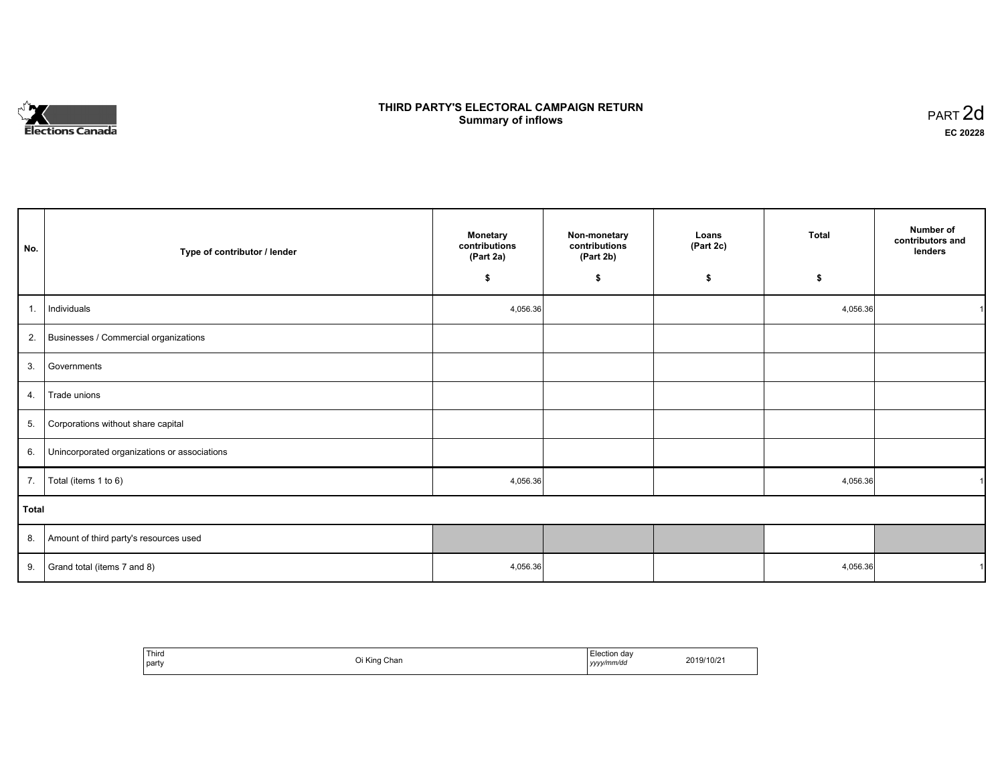

# **THIRD PARTY'S ELECTORAL CAMPAIGN RETURN S** ELECTORAL CAMPAIGN RETURN<br>Summary of inflows PART 2d

٦

| No.   | Type of contributor / lender                    | <b>Monetary</b><br>contributions<br>(Part 2a) | Non-monetary<br>contributions<br>(Part 2b) | Loans<br>(Part 2c) | <b>Total</b> | Number of<br>contributors and<br>lenders |
|-------|-------------------------------------------------|-----------------------------------------------|--------------------------------------------|--------------------|--------------|------------------------------------------|
|       |                                                 | \$                                            | \$                                         | \$                 | \$           |                                          |
| 1.    | Individuals                                     | 4,056.36                                      |                                            |                    | 4,056.36     |                                          |
|       | 2. Businesses / Commercial organizations        |                                               |                                            |                    |              |                                          |
| 3.    | Governments                                     |                                               |                                            |                    |              |                                          |
| 4.    | Trade unions                                    |                                               |                                            |                    |              |                                          |
| 5.    | Corporations without share capital              |                                               |                                            |                    |              |                                          |
|       | 6. Unincorporated organizations or associations |                                               |                                            |                    |              |                                          |
| 7.    | Total (items 1 to 6)                            | 4,056.36                                      |                                            |                    | 4,056.36     |                                          |
| Total |                                                 |                                               |                                            |                    |              |                                          |
|       | 8. Amount of third party's resources used       |                                               |                                            |                    |              |                                          |
|       | 9. Grand total (items $7$ and $8$ )             | 4,056.36                                      |                                            |                    | 4,056.36     |                                          |

| Third<br>party | ا King Chan | Election dav<br>yyyy/mm/dd | 2019/10/21 |
|----------------|-------------|----------------------------|------------|
|----------------|-------------|----------------------------|------------|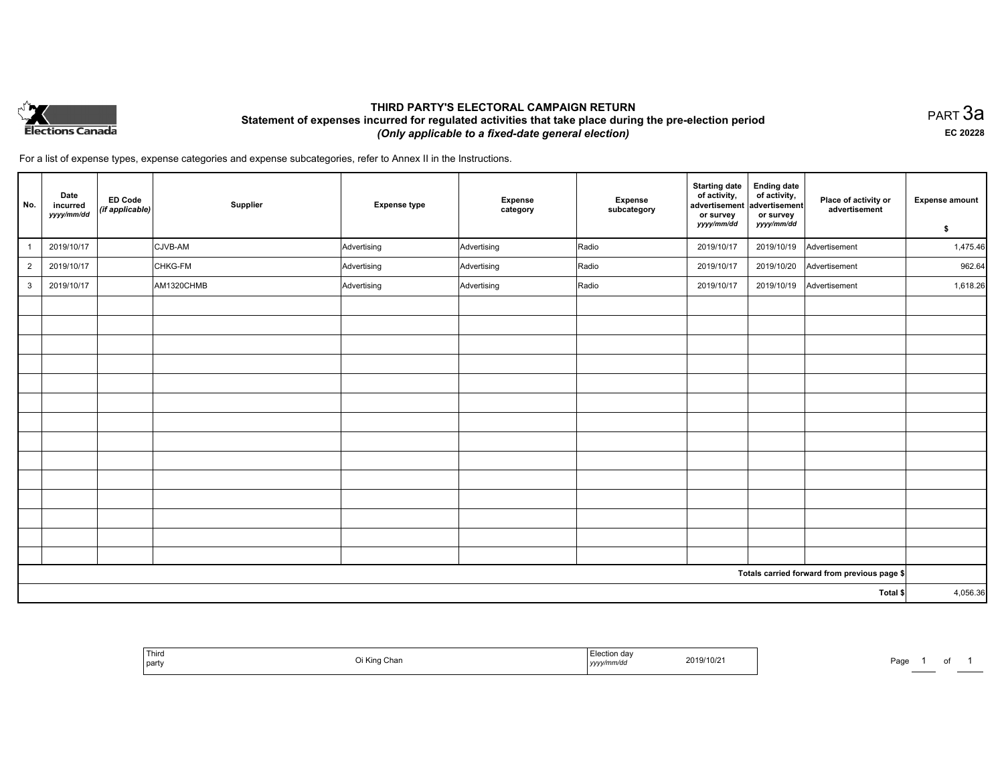

# **THIRD PARTY'S ELECTORAL CAMPAIGN RETURN Statement of expenses incurred for regulated activities that take place during the pre-election period**  *(Only applicable to a fixed-date general election)*

PART 3a **EC 20228**

For a list of expense types, expense categories and expense subcategories, refer to Annex II in the Instructions.

| No.            | Date<br>incurred<br>yyyy/mm/dd | <b>ED Code</b><br>$\left $ (if applicable) | Supplier   | <b>Expense type</b> | <b>Expense</b><br>category | Expense<br>subcategory | <b>Starting date</b><br>of activity,<br>advertisement<br>or survey<br>yyyy/mm/dd | <b>Ending date</b><br>of activity,<br>advertisement<br>or survey<br>yyyy/mm/dd | Place of activity or<br>advertisement        | <b>Expense amount</b><br>\$ |
|----------------|--------------------------------|--------------------------------------------|------------|---------------------|----------------------------|------------------------|----------------------------------------------------------------------------------|--------------------------------------------------------------------------------|----------------------------------------------|-----------------------------|
| -1             | 2019/10/17                     |                                            | CJVB-AM    | Advertising         | Advertising                | Radio                  | 2019/10/17                                                                       | 2019/10/19                                                                     | Advertisement                                | 1,475.46                    |
| $\overline{2}$ | 2019/10/17                     |                                            | CHKG-FM    | Advertising         | Advertising                | Radio                  | 2019/10/17                                                                       | 2019/10/20                                                                     | Advertisement                                | 962.64                      |
| $\mathbf{3}$   | 2019/10/17                     |                                            | AM1320CHMB | Advertising         | Advertising                | Radio                  | 2019/10/17                                                                       | 2019/10/19                                                                     | Advertisement                                | 1,618.26                    |
|                |                                |                                            |            |                     |                            |                        |                                                                                  |                                                                                |                                              |                             |
|                |                                |                                            |            |                     |                            |                        |                                                                                  |                                                                                |                                              |                             |
|                |                                |                                            |            |                     |                            |                        |                                                                                  |                                                                                |                                              |                             |
|                |                                |                                            |            |                     |                            |                        |                                                                                  |                                                                                |                                              |                             |
|                |                                |                                            |            |                     |                            |                        |                                                                                  |                                                                                |                                              |                             |
|                |                                |                                            |            |                     |                            |                        |                                                                                  |                                                                                |                                              |                             |
|                |                                |                                            |            |                     |                            |                        |                                                                                  |                                                                                |                                              |                             |
|                |                                |                                            |            |                     |                            |                        |                                                                                  |                                                                                |                                              |                             |
|                |                                |                                            |            |                     |                            |                        |                                                                                  |                                                                                |                                              |                             |
|                |                                |                                            |            |                     |                            |                        |                                                                                  |                                                                                |                                              |                             |
|                |                                |                                            |            |                     |                            |                        |                                                                                  |                                                                                |                                              |                             |
|                |                                |                                            |            |                     |                            |                        |                                                                                  |                                                                                |                                              |                             |
|                |                                |                                            |            |                     |                            |                        |                                                                                  |                                                                                |                                              |                             |
|                |                                |                                            |            |                     |                            |                        |                                                                                  |                                                                                |                                              |                             |
|                |                                |                                            |            |                     |                            |                        |                                                                                  |                                                                                | Totals carried forward from previous page \$ |                             |
| Total \$       |                                |                                            |            |                     |                            | 4,056.36               |                                                                                  |                                                                                |                                              |                             |

|  | Third<br>  party | ulidi | on dav<br>. | 2019/10/2 | Pag. |  |  |
|--|------------------|-------|-------------|-----------|------|--|--|
|--|------------------|-------|-------------|-----------|------|--|--|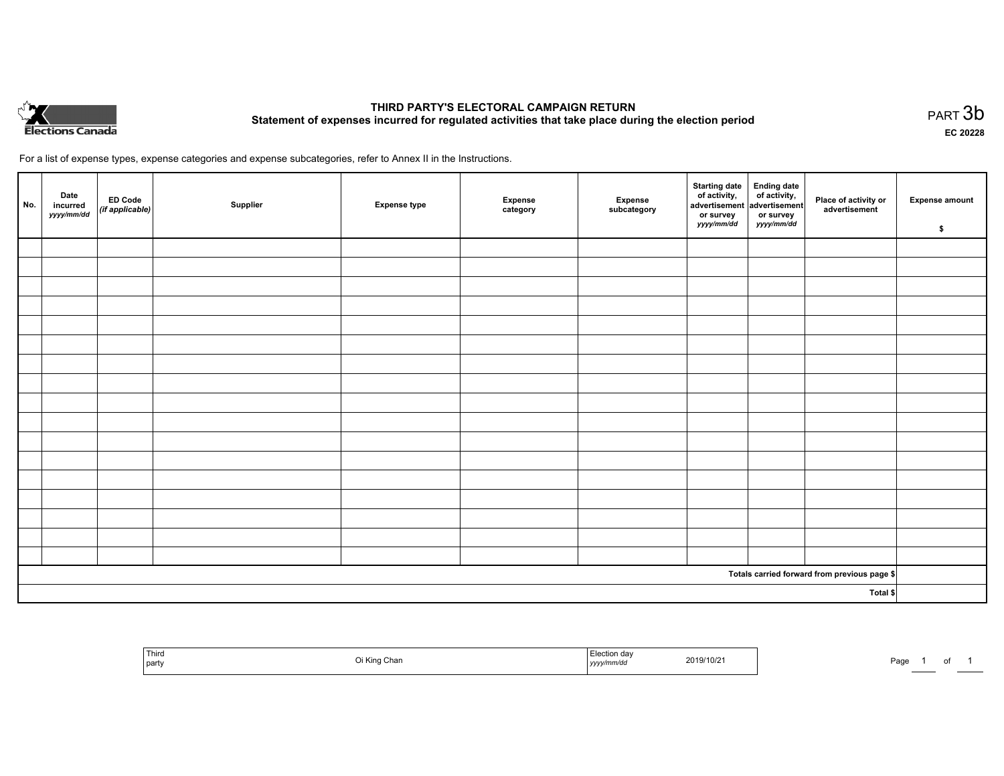

# **THIRD PARTY'S ELECTORAL CAMPAIGN RETURN Statement of expenses incurred for regulated activities that take place during the election period**<br>PART  $3b$

**EC 20228**

For a list of expense types, expense categories and expense subcategories, refer to Annex II in the Instructions.

| No.                                          | Date<br>incurred<br>yyyy/mm/dd | ED Code<br>(if applicable) | Supplier | <b>Expense type</b> | Expense<br>category | Expense<br>subcategory | Starting date Ending date<br>of activity, of activity,<br>advertisement advertisement<br>or survey<br>yyyy/mm/dd | or survey<br><i>yyyy/mm/dd</i> | Place of activity or<br>advertisement | <b>Expense amount</b><br>\$ |
|----------------------------------------------|--------------------------------|----------------------------|----------|---------------------|---------------------|------------------------|------------------------------------------------------------------------------------------------------------------|--------------------------------|---------------------------------------|-----------------------------|
|                                              |                                |                            |          |                     |                     |                        |                                                                                                                  |                                |                                       |                             |
|                                              |                                |                            |          |                     |                     |                        |                                                                                                                  |                                |                                       |                             |
|                                              |                                |                            |          |                     |                     |                        |                                                                                                                  |                                |                                       |                             |
|                                              |                                |                            |          |                     |                     |                        |                                                                                                                  |                                |                                       |                             |
|                                              |                                |                            |          |                     |                     |                        |                                                                                                                  |                                |                                       |                             |
|                                              |                                |                            |          |                     |                     |                        |                                                                                                                  |                                |                                       |                             |
|                                              |                                |                            |          |                     |                     |                        |                                                                                                                  |                                |                                       |                             |
|                                              |                                |                            |          |                     |                     |                        |                                                                                                                  |                                |                                       |                             |
|                                              |                                |                            |          |                     |                     |                        |                                                                                                                  |                                |                                       |                             |
|                                              |                                |                            |          |                     |                     |                        |                                                                                                                  |                                |                                       |                             |
|                                              |                                |                            |          |                     |                     |                        |                                                                                                                  |                                |                                       |                             |
|                                              |                                |                            |          |                     |                     |                        |                                                                                                                  |                                |                                       |                             |
|                                              |                                |                            |          |                     |                     |                        |                                                                                                                  |                                |                                       |                             |
|                                              |                                |                            |          |                     |                     |                        |                                                                                                                  |                                |                                       |                             |
|                                              |                                |                            |          |                     |                     |                        |                                                                                                                  |                                |                                       |                             |
|                                              |                                |                            |          |                     |                     |                        |                                                                                                                  |                                |                                       |                             |
|                                              |                                |                            |          |                     |                     |                        |                                                                                                                  |                                |                                       |                             |
| Totals carried forward from previous page \$ |                                |                            |          |                     |                     |                        |                                                                                                                  |                                |                                       |                             |
| Total \$                                     |                                |                            |          |                     |                     |                        |                                                                                                                  |                                |                                       |                             |

| <sup>1</sup> Thira<br>party | unar | 2019/10/2<br>the contract of the contract of the contract of the contract of the contract of<br>. | Page<br>. |
|-----------------------------|------|---------------------------------------------------------------------------------------------------|-----------|
|-----------------------------|------|---------------------------------------------------------------------------------------------------|-----------|